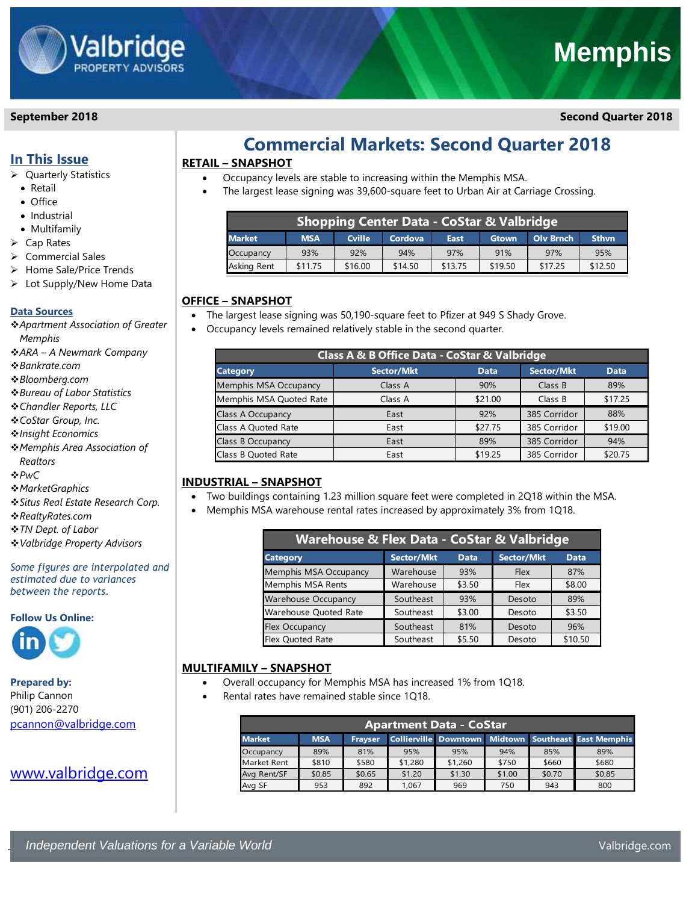

## **Memphis**

**September 2018 Second Quarter 2018**

## **In This Issue**

- ➢ Quarterly Statistics
	- Retail
	- Office
	- Industrial
- Multifamily
- ➢ Cap Rates
- ➢ Commercial Sales
- ➢ Home Sale/Price Trends
- ➢ Lot Supply/New Home Data

#### **Data Sources**

- ❖*Apartment Association of Greater Memphis*
- ❖*ARA – A Newmark Company*
- ❖*Bankrate.com*
- ❖*Bloomberg.com*
- ❖*Bureau of Labor Statistics*
- ❖*Chandler Reports, LLC*
- ❖*CoStar Group, Inc.*
- ❖*Insight Economics*
- ❖*Memphis Area Association of Realtors*
- ❖*PwC*
- 
- ❖*MarketGraphics*
- ❖*Situs Real Estate Research Corp.*
- ❖*RealtyRates.com*
- ❖*TN Dept. of Labor*
- ❖*Valbridge Property Advisors*

*Some figures are interpolated and estimated due to variances between the reports.* 

#### **Follow Us Online:**



**Prepared by:**

Philip Cannon (901) 206-2270 [pcannon@valbridge.com](mailto:pcannon@valbridge.com)

## [www.valbridge.com](http://www.valbridge.com/)

## **Commercial Markets: Second Quarter 2018**

## **RETAIL – SNAPSHOT**

- Occupancy levels are stable to increasing within the Memphis MSA.
- The largest lease signing was 39,600-square feet to Urban Air at Carriage Crossing.

| <b>Shopping Center Data - CoStar &amp; Valbridge</b> |            |               |         |         |              |                  |              |
|------------------------------------------------------|------------|---------------|---------|---------|--------------|------------------|--------------|
| <b>Market</b>                                        | <b>MSA</b> | <b>Cville</b> | Cordova | East    | <b>Gtown</b> | <b>Olv Brnch</b> | <b>Sthvn</b> |
| Occupancy                                            | 93%        | 92%           | 94%     | 97%     | 91%          | 97%              | 95%          |
| Asking Rent                                          | \$11.75    | \$16.00       | \$14.50 | \$13.75 | \$19.50      | \$17.25          | \$12.50      |

### **OFFICE – SNAPSHOT**

- The largest lease signing was 50,190-square feet to Pfizer at 949 S Shady Grove.
- Occupancy levels remained relatively stable in the second quarter.

| Class A & B Office Data - CoStar & Valbridge |            |             |              |             |  |  |
|----------------------------------------------|------------|-------------|--------------|-------------|--|--|
| <b>Category</b>                              | Sector/Mkt | <b>Data</b> | Sector/Mkt   | <b>Data</b> |  |  |
| Memphis MSA Occupancy                        | Class A    | 90%         | Class B      | 89%         |  |  |
| Memphis MSA Quoted Rate                      | Class A    | \$21.00     | Class B      | \$17.25     |  |  |
| Class A Occupancy                            | East       | 92%         | 385 Corridor | 88%         |  |  |
| Class A Quoted Rate                          | East       | \$27.75     | 385 Corridor | \$19.00     |  |  |
| Class B Occupancy                            | East       | 89%         | 385 Corridor | 94%         |  |  |
| Class B Quoted Rate                          | East       | \$19.25     | 385 Corridor | \$20.75     |  |  |

## **INDUSTRIAL – SNAPSHOT**

- Two buildings containing 1.23 million square feet were completed in 2Q18 within the MSA.
- Memphis MSA warehouse rental rates increased by approximately 3% from 1Q18.

| Warehouse & Flex Data - CoStar & Valbridge |            |             |                   |             |  |  |
|--------------------------------------------|------------|-------------|-------------------|-------------|--|--|
| <b>Category</b>                            | Sector/Mkt | <b>Data</b> | <b>Sector/Mkt</b> | <b>Data</b> |  |  |
| Memphis MSA Occupancy                      | Warehouse  | 93%         | Flex              | 87%         |  |  |
| Memphis MSA Rents                          | Warehouse  | \$3.50      | Flex              | \$8.00      |  |  |
| <b>Warehouse Occupancy</b>                 | Southeast  | 93%         | Desoto            | 89%         |  |  |
| Warehouse Quoted Rate                      | Southeast  | \$3.00      | Desoto            | \$3.50      |  |  |
| <b>Flex Occupancy</b>                      | Southeast  | 81%         | Desoto            | 96%         |  |  |
| <b>Flex Quoted Rate</b>                    | Southeast  | \$5.50      | Desoto            | \$10.50     |  |  |

## **MULTIFAMILY – SNAPSHOT**

- Overall occupancy for Memphis MSA has increased 1% from 1Q18.
- Rental rates have remained stable since 1Q18.

| Apartment Data - CoStar' |                                                                                      |        |         |         |        |        |        |
|--------------------------|--------------------------------------------------------------------------------------|--------|---------|---------|--------|--------|--------|
| <b>Market</b>            | Collierville Downtown Midtown Southeast East Memphis<br><b>MSA</b><br><b>Fravser</b> |        |         |         |        |        |        |
| Occupancy                | 89%                                                                                  | 81%    | 95%     | 95%     | 94%    | 85%    | 89%    |
| Market Rent              | \$810                                                                                | \$580  | \$1,280 | \$1,260 | \$750  | \$660  | \$680  |
| Avg Rent/SF              | \$0.85                                                                               | \$0.65 | \$1.20  | \$1.30  | \$1.00 | \$0.70 | \$0.85 |
| Avg SF                   | 953                                                                                  | 892    | 1.067   | 969     | 750    | 943    | 800    |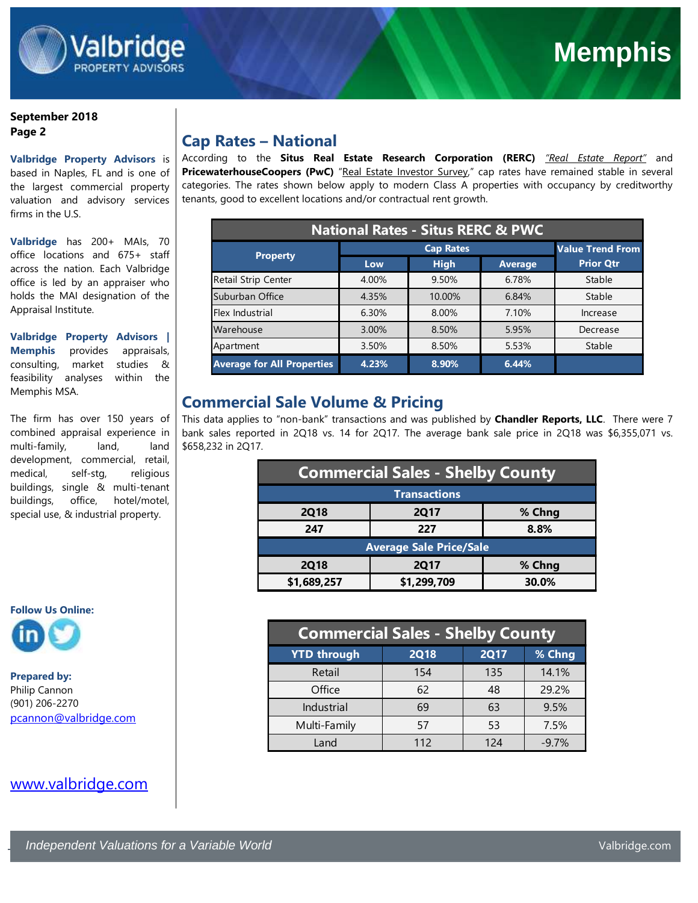

#### **September 2018 Page 2**

## **Valbridge Property Advisors** is

based in Naples, FL and is one of the largest commercial property valuation and advisory services firms in the U.S.

**Valbridge** has 200+ MAIs, 70 office locations and 675+ staff across the nation. Each Valbridge office is led by an appraiser who holds the MAI designation of the Appraisal Institute.

**Valbridge Property Advisors | Memphis** provides appraisals, consulting, market studies & feasibility analyses within the Memphis MSA.

The firm has over 150 years of combined appraisal experience in multi-family, land, land development, commercial, retail, medical, self-stg, religious buildings, single & multi-tenant buildings, office, hotel/motel, special use, & industrial property.

# **Follow Us Online:**

**Prepared by:** Philip Cannon (901) 206-2270 [pcannon@valbridge.com](mailto:pcannon@valbridge.com)

## [www.valbridge.com](http://www.valbridge.com/)

## **Cap Rates – National**

According to the **Situs Real Estate Research Corporation (RERC)** *"Real Estate Report"* and PricewaterhouseCoopers (PwC) "Real Estate Investor Survey," cap rates have remained stable in several categories. The rates shown below apply to modern Class A properties with occupancy by creditworthy tenants, good to excellent locations and/or contractual rent growth.

| <b>National Rates - Situs RERC &amp; PWC</b> |       |                         |                |                  |  |
|----------------------------------------------|-------|-------------------------|----------------|------------------|--|
|                                              |       | <b>Value Trend From</b> |                |                  |  |
| <b>Property</b>                              | Low   | <b>High</b>             | <b>Average</b> | <b>Prior Qtr</b> |  |
| Retail Strip Center                          | 4.00% | 9.50%                   | 6.78%          | Stable           |  |
| Suburban Office                              | 4.35% | 10.00%                  | 6.84%          | Stable           |  |
| Flex Industrial                              | 6.30% | 8.00%                   | 7.10%          | Increase         |  |
| Warehouse                                    | 3.00% | 8.50%                   | 5.95%          | Decrease         |  |
| Apartment                                    | 3.50% | 8.50%                   | 5.53%          | Stable           |  |
| <b>Average for All Properties</b>            | 4.23% | 8.90%                   | 6.44%          |                  |  |

## **Commercial Sale Volume & Pricing**

This data applies to "non-bank" transactions and was published by **Chandler Reports, LLC**. There were 7 bank sales reported in 2Q18 vs. 14 for 2Q17. The average bank sale price in 2Q18 was \$6,355,071 vs. \$658,232 in 2Q17.

| <b>Commercial Sales - Shelby County</b> |             |        |  |  |
|-----------------------------------------|-------------|--------|--|--|
| <b>Transactions</b>                     |             |        |  |  |
| <b>2Q18</b>                             | <b>2Q17</b> | % Chng |  |  |
| 247                                     | 227         | 8.8%   |  |  |
| <b>Average Sale Price/Sale</b>          |             |        |  |  |
| <b>2Q18</b>                             | <b>2Q17</b> | % Chng |  |  |
| \$1,299,709<br>\$1,689,257              |             | 30.0%  |  |  |

| <b>Commercial Sales - Shelby County</b> |             |             |         |  |  |
|-----------------------------------------|-------------|-------------|---------|--|--|
| <b>YTD through</b>                      | <b>2Q18</b> | <b>2Q17</b> | % Chng  |  |  |
| Retail                                  | 154         | 135         | 14.1%   |  |  |
| Office                                  | 62          | 48          | 29.2%   |  |  |
| Industrial                              | 69          | 63          | 9.5%    |  |  |
| Multi-Family                            | 57          | 53          | 7.5%    |  |  |
| Land                                    | 112         | 124         | $-9.7%$ |  |  |